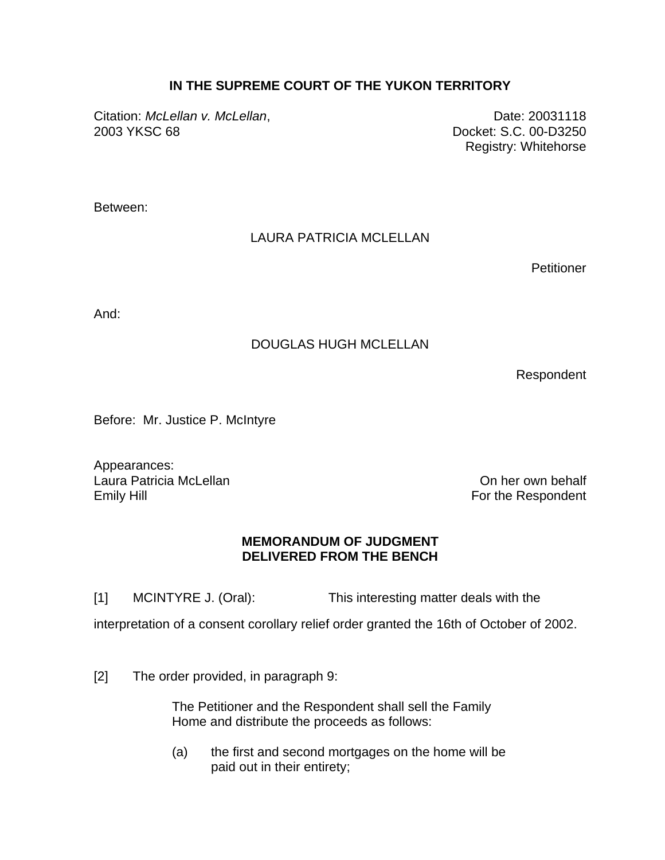### **IN THE SUPREME COURT OF THE YUKON TERRITORY**

Citation: *McLellan v. McLellan*, 20031118 2003 YKSC 68 Docket: S.C. 00-D3250

Registry: Whitehorse

Between:

## LAURA PATRICIA MCLELLAN

Petitioner

And:

### DOUGLAS HUGH MCLELLAN

Respondent

Before: Mr. Justice P. McIntyre

Appearances: Laura Patricia McLellan **On the Contract of Contract Contract Contract Contract Contract Contract Contract Contract Contract Contract Contract Contract Contract Contract Contract Contract Contract Contract Contract Contrac** Emily Hill **Emily Hill** For the Respondent

#### **MEMORANDUM OF JUDGMENT DELIVERED FROM THE BENCH**

[1] MCINTYRE J. (Oral): This interesting matter deals with the

interpretation of a consent corollary relief order granted the 16th of October of 2002.

[2] The order provided, in paragraph 9:

The Petitioner and the Respondent shall sell the Family Home and distribute the proceeds as follows:

(a) the first and second mortgages on the home will be paid out in their entirety;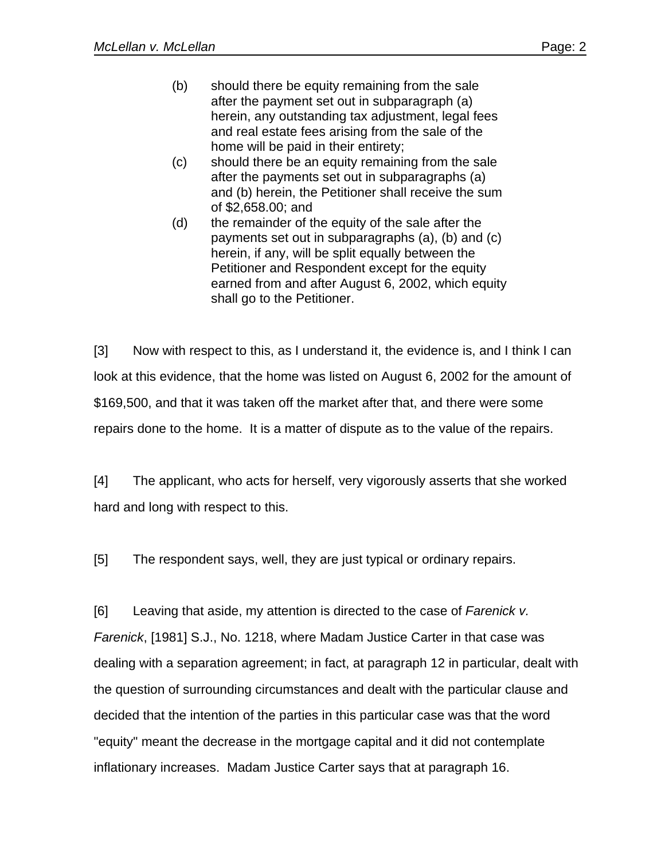- (b) should there be equity remaining from the sale after the payment set out in subparagraph (a) herein, any outstanding tax adjustment, legal fees and real estate fees arising from the sale of the home will be paid in their entirety;
- (c) should there be an equity remaining from the sale after the payments set out in subparagraphs (a) and (b) herein, the Petitioner shall receive the sum of \$2,658.00; and
- (d) the remainder of the equity of the sale after the payments set out in subparagraphs (a), (b) and (c) herein, if any, will be split equally between the Petitioner and Respondent except for the equity earned from and after August 6, 2002, which equity shall go to the Petitioner.

[3] Now with respect to this, as I understand it, the evidence is, and I think I can look at this evidence, that the home was listed on August 6, 2002 for the amount of \$169,500, and that it was taken off the market after that, and there were some repairs done to the home. It is a matter of dispute as to the value of the repairs.

[4] The applicant, who acts for herself, very vigorously asserts that she worked hard and long with respect to this.

[5] The respondent says, well, they are just typical or ordinary repairs.

[6] Leaving that aside, my attention is directed to the case of *Farenick v. Farenick*, [1981] S.J., No. 1218, where Madam Justice Carter in that case was dealing with a separation agreement; in fact, at paragraph 12 in particular, dealt with the question of surrounding circumstances and dealt with the particular clause and decided that the intention of the parties in this particular case was that the word "equity" meant the decrease in the mortgage capital and it did not contemplate inflationary increases. Madam Justice Carter says that at paragraph 16.